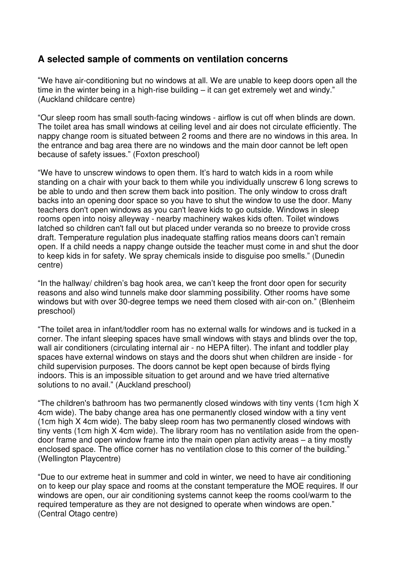## **A selected sample of comments on ventilation concerns**

"We have air-conditioning but no windows at all. We are unable to keep doors open all the time in the winter being in a high-rise building – it can get extremely wet and windy." (Auckland childcare centre)

"Our sleep room has small south-facing windows - airflow is cut off when blinds are down. The toilet area has small windows at ceiling level and air does not circulate efficiently. The nappy change room is situated between 2 rooms and there are no windows in this area. In the entrance and bag area there are no windows and the main door cannot be left open because of safety issues." (Foxton preschool)

"We have to unscrew windows to open them. It's hard to watch kids in a room while standing on a chair with your back to them while you individually unscrew 6 long screws to be able to undo and then screw them back into position. The only window to cross draft backs into an opening door space so you have to shut the window to use the door. Many teachers don't open windows as you can't leave kids to go outside. Windows in sleep rooms open into noisy alleyway - nearby machinery wakes kids often. Toilet windows latched so children can't fall out but placed under veranda so no breeze to provide cross draft. Temperature regulation plus inadequate staffing ratios means doors can't remain open. If a child needs a nappy change outside the teacher must come in and shut the door to keep kids in for safety. We spray chemicals inside to disguise poo smells." (Dunedin centre)

"In the hallway/ children's bag hook area, we can't keep the front door open for security reasons and also wind tunnels make door slamming possibility. Other rooms have some windows but with over 30-degree temps we need them closed with air-con on." (Blenheim preschool)

"The toilet area in infant/toddler room has no external walls for windows and is tucked in a corner. The infant sleeping spaces have small windows with stays and blinds over the top, wall air conditioners (circulating internal air - no HEPA filter). The infant and toddler play spaces have external windows on stays and the doors shut when children are inside - for child supervision purposes. The doors cannot be kept open because of birds flying indoors. This is an impossible situation to get around and we have tried alternative solutions to no avail." (Auckland preschool)

"The children's bathroom has two permanently closed windows with tiny vents (1cm high X 4cm wide). The baby change area has one permanently closed window with a tiny vent (1cm high X 4cm wide). The baby sleep room has two permanently closed windows with tiny vents (1cm high X 4cm wide). The library room has no ventilation aside from the opendoor frame and open window frame into the main open plan activity areas – a tiny mostly enclosed space. The office corner has no ventilation close to this corner of the building." (Wellington Playcentre)

"Due to our extreme heat in summer and cold in winter, we need to have air conditioning on to keep our play space and rooms at the constant temperature the MOE requires. If our windows are open, our air conditioning systems cannot keep the rooms cool/warm to the required temperature as they are not designed to operate when windows are open." (Central Otago centre)